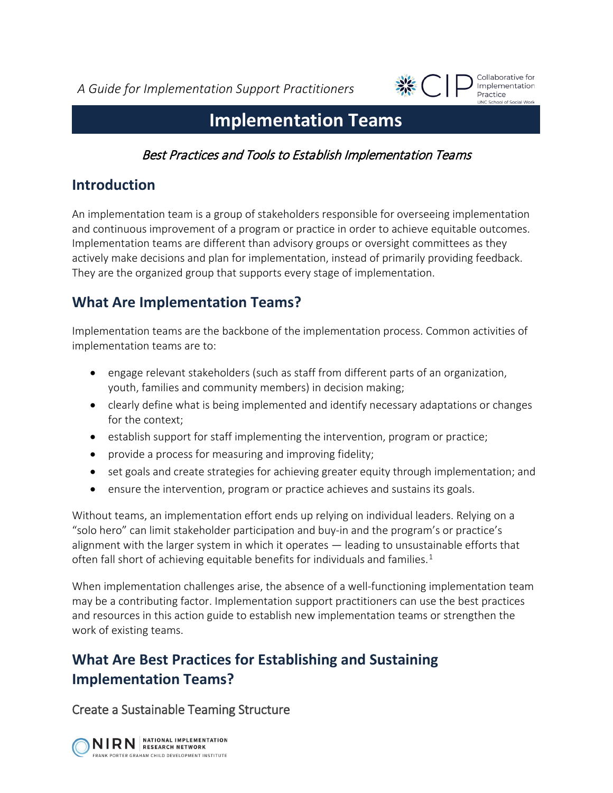*A Guide for Implementation Support Practitioners*



Collaborative for Implementation Practice **INC School of Social Work** 

# **Implementation Teams**

Best Practices and Tools to Establish Implementation Teams

### **Introduction**

An implementation team is a group of stakeholders responsible for overseeing implementation and continuous improvement of a program or practice in order to achieve equitable outcomes. Implementation teams are different than advisory groups or oversight committees as they actively make decisions and plan for implementation, instead of primarily providing feedback. They are the organized group that supports every stage of implementation.

## **What Are Implementation Teams?**

Implementation teams are the backbone of the implementation process. Common activities of implementation teams are to:

- engage relevant stakeholders (such as staff from different parts of an organization, youth, families and community members) in decision making;
- clearly define what is being implemented and identify necessary adaptations or changes for the context;
- establish support for staff implementing the intervention, program or practice;
- provide a process for measuring and improving fidelity;
- set goals and create strategies for achieving greater equity through implementation; and
- ensure the intervention, program or practice achieves and sustains its goals.

Without teams, an implementation effort ends up relying on individual leaders. Relying on a "solo hero" can limit stakeholder participation and buy-in and the program's or practice's alignment with the larger system in which it operates — leading to unsustainable efforts that often fall short of achieving equitable benefits for individuals and families.<sup>[1](#page-8-0)</sup>

When implementation challenges arise, the absence of a well-functioning implementation team may be a contributing factor. Implementation support practitioners can use the best practices and resources in this action guide to establish new implementation teams or strengthen the work of existing teams.

## **What Are Best Practices for Establishing and Sustaining Implementation Teams?**

Create a Sustainable Teaming Structure

NIRN RESEARCH NETWORK FRANK PORTER GRAHAM CHILD DEVELOPMENT INSTITUTE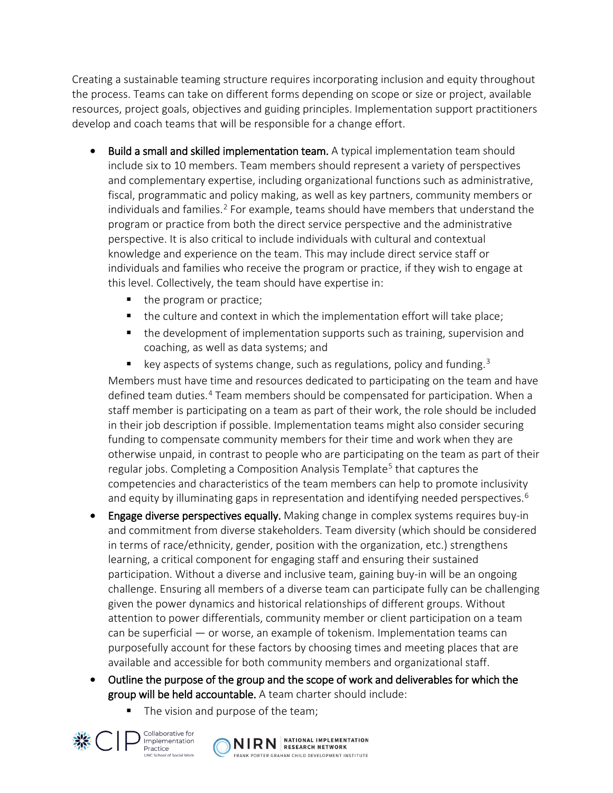Creating a sustainable teaming structure requires incorporating inclusion and equity throughout the process. Teams can take on different forms depending on scope or size or project, available resources, project goals, objectives and guiding principles. Implementation support practitioners develop and coach teams that will be responsible for a change effort.

- Build a small and skilled implementation team. A typical implementation team should include six to 10 members. Team members should represent a variety of perspectives and complementary expertise, including organizational functions such as administrative, fiscal, programmatic and policy making, as well as key partners, community members or individuals and families.<sup>[2](#page-8-1)</sup> For example, teams should have members that understand the program or practice from both the direct service perspective and the administrative perspective. It is also critical to include individuals with cultural and contextual knowledge and experience on the team. This may include direct service staff or individuals and families who receive the program or practice, if they wish to engage at this level. Collectively, the team should have expertise in:
	- the program or practice;
	- the culture and context in which the implementation effort will take place;
	- **the development of implementation supports such as training, supervision and** coaching, as well as data systems; and
	- E key aspects of systems change, such as regulations, policy and funding.<sup>[3](#page-8-2)</sup>

Members must have time and resources dedicated to participating on the team and have defined team duties.<sup>[4](#page-8-3)</sup> Team members should be compensated for participation. When a staff member is participating on a team as part of their work, the role should be included in their job description if possible. Implementation teams might also consider securing funding to compensate community members for their time and work when they are otherwise unpaid, in contrast to people who are participating on the team as part of their regular jobs. Completing a Composition Analysis Template<sup>[5](#page-8-4)</sup> that captures the competencies and characteristics of the team members can help to promote inclusivity and equity by illuminating gaps in representation and identifying needed perspectives.<sup>[6](#page-8-5)</sup>

- Engage diverse perspectives equally. Making change in complex systems requires buy-in and commitment from diverse stakeholders. Team diversity (which should be considered in terms of race/ethnicity, gender, position with the organization, etc.) strengthens learning, a critical component for engaging staff and ensuring their sustained participation. Without a diverse and inclusive team, gaining buy-in will be an ongoing challenge. Ensuring all members of a diverse team can participate fully can be challenging given the power dynamics and historical relationships of different groups. Without attention to power differentials, community member or client participation on a team can be superficial — or worse, an example of tokenism. Implementation teams can purposefully account for these factors by choosing times and meeting places that are available and accessible for both community members and organizational staff.
- Outline the purpose of the group and the scope of work and deliverables for which the group will be held accountable. A team charter should include:
	- The vision and purpose of the team;



Collaborative for Implementation Practice **JNC School of Social Work** 

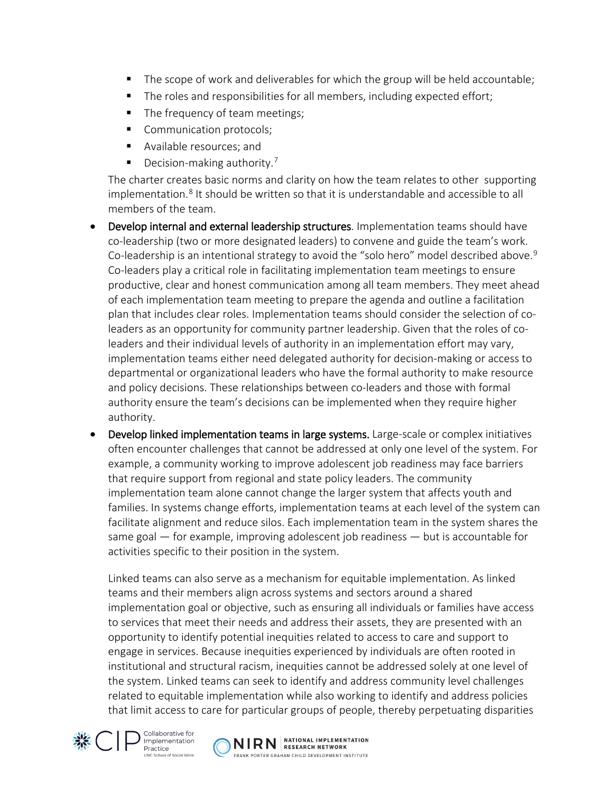- The scope of work and deliverables for which the group will be held accountable;
- The roles and responsibilities for all members, including expected effort;
- The frequency of team meetings;
- Communication protocols;
- **Available resources; and**
- $\blacksquare$  Decision-making authority.<sup>[7](#page-8-6)</sup>

The charter creates basic norms and clarity on how the team relates to other supporting implementation.[8](#page-8-7) It should be written so that it is understandable and accessible to all members of the team.

- Develop internal and external leadership structures. Implementation teams should have co-leadership (two or more designated leaders) to convene and guide the team's work. Co-leadership is an intentional strategy to avoid the "solo hero" model described above.<sup>[9](#page-8-8)</sup> Co-leaders play a critical role in facilitating implementation team meetings to ensure productive, clear and honest communication among all team members. They meet ahead of each implementation team meeting to prepare the agenda and outline a facilitation plan that includes clear roles. Implementation teams should consider the selection of coleaders as an opportunity for community partner leadership. Given that the roles of coleaders and their individual levels of authority in an implementation effort may vary, implementation teams either need delegated authority for decision-making or access to departmental or organizational leaders who have the formal authority to make resource and policy decisions. These relationships between co-leaders and those with formal authority ensure the team's decisions can be implemented when they require higher authority.
- Develop linked implementation teams in large systems. Large-scale or complex initiatives often encounter challenges that cannot be addressed at only one level of the system. For example, a community working to improve adolescent job readiness may face barriers that require support from regional and state policy leaders. The community implementation team alone cannot change the larger system that affects youth and families. In systems change efforts, implementation teams at each level of the system can facilitate alignment and reduce silos. Each implementation team in the system shares the same goal — for example, improving adolescent job readiness — but is accountable for activities specific to their position in the system.

Linked teams can also serve as a mechanism for equitable implementation. As linked teams and their members align across systems and sectors around a shared implementation goal or objective, such as ensuring all individuals or families have access to services that meet their needs and address their assets, they are presented with an opportunity to identify potential inequities related to access to care and support to engage in services. Because inequities experienced by individuals are often rooted in institutional and structural racism, inequities cannot be addressed solely at one level of the system. Linked teams can seek to identify and address community level challenges related to equitable implementation while also working to identify and address policies that limit access to care for particular groups of people, thereby perpetuating disparities



Collaborative for Implementation Practice

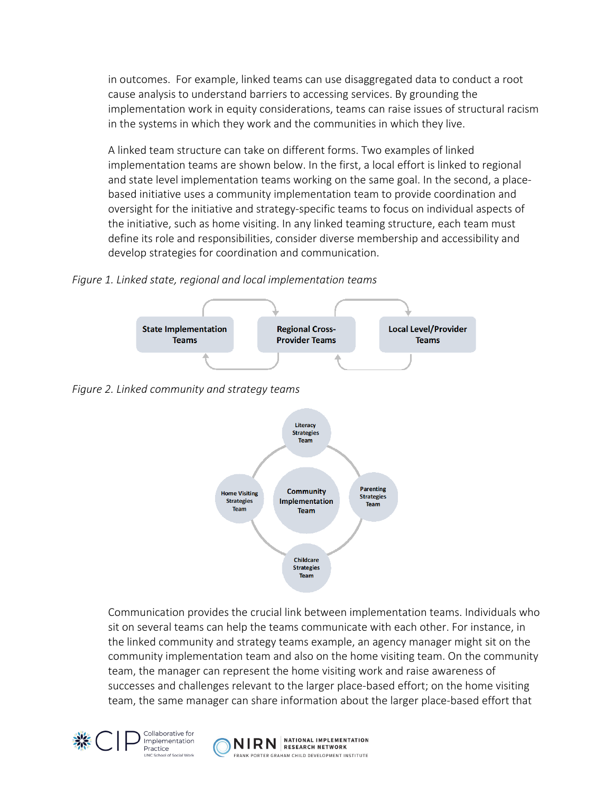in outcomes. For example, linked teams can use disaggregated data to conduct a root cause analysis to understand barriers to accessing services. By grounding the implementation work in equity considerations, teams can raise issues of structural racism in the systems in which they work and the communities in which they live.

A linked team structure can take on different forms. Two examples of linked implementation teams are shown below. In the first, a local effort is linked to regional and state level implementation teams working on the same goal. In the second, a placebased initiative uses a community implementation team to provide coordination and oversight for the initiative and strategy-specific teams to focus on individual aspects of the initiative, such as home visiting. In any linked teaming structure, each team must define its role and responsibilities, consider diverse membership and accessibility and develop strategies for coordination and communication.

*Figure 1. Linked state, regional and local implementation teams*







Communication provides the crucial link between implementation teams. Individuals who sit on several teams can help the teams communicate with each other. For instance, in the linked community and strategy teams example, an agency manager might sit on the community implementation team and also on the home visiting team. On the community team, the manager can represent the home visiting work and raise awareness of successes and challenges relevant to the larger place-based effort; on the home visiting team, the same manager can share information about the larger place-based effort that



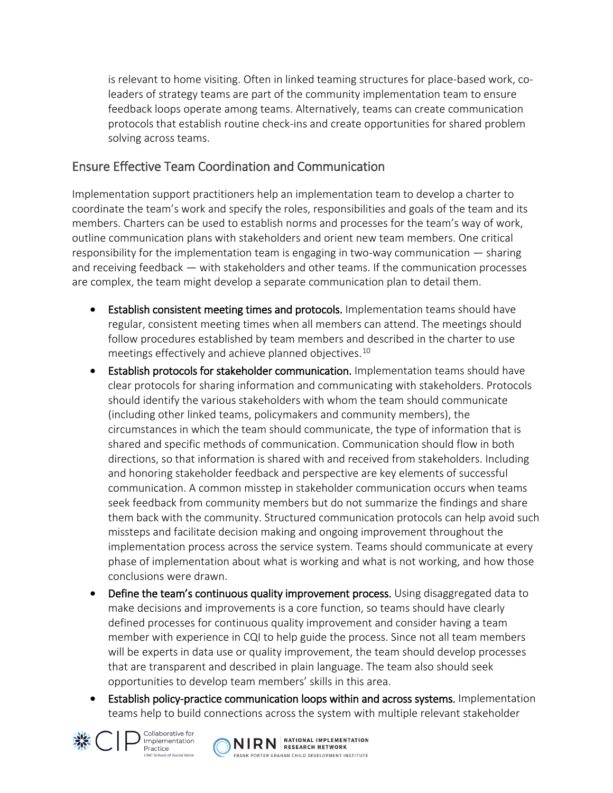is relevant to home visiting. Often in linked teaming structures for place-based work, coleaders of strategy teams are part of the community implementation team to ensure feedback loops operate among teams. Alternatively, teams can create communication protocols that establish routine check-ins and create opportunities for shared problem solving across teams.

#### Ensure Effective Team Coordination and Communication

Implementation support practitioners help an implementation team to develop a charter to coordinate the team's work and specify the roles, responsibilities and goals of the team and its members. Charters can be used to establish norms and processes for the team's way of work, outline communication plans with stakeholders and orient new team members. One critical responsibility for the implementation team is engaging in two-way communication — sharing and receiving feedback — with stakeholders and other teams. If the communication processes are complex, the team might develop a separate communication plan to detail them.

- **Establish consistent meeting times and protocols.** Implementation teams should have regular, consistent meeting times when all members can attend. The meetings should follow procedures established by team members and described in the charter to use meetings effectively and achieve planned objectives.[10](#page-8-9)
- Establish protocols for stakeholder communication. Implementation teams should have clear protocols for sharing information and communicating with stakeholders. Protocols should identify the various stakeholders with whom the team should communicate (including other linked teams, policymakers and community members), the circumstances in which the team should communicate, the type of information that is shared and specific methods of communication. Communication should flow in both directions, so that information is shared with and received from stakeholders. Including and honoring stakeholder feedback and perspective are key elements of successful communication. A common misstep in stakeholder communication occurs when teams seek feedback from community members but do not summarize the findings and share them back with the community. Structured communication protocols can help avoid such missteps and facilitate decision making and ongoing improvement throughout the implementation process across the service system. Teams should communicate at every phase of implementation about what is working and what is not working, and how those conclusions were drawn.
- Define the team's continuous quality improvement process. Using disaggregated data to make decisions and improvements is a core function, so teams should have clearly defined processes for continuous quality improvement and consider having a team member with experience in CQI to help guide the process. Since not all team members will be experts in data use or quality improvement, the team should develop processes that are transparent and described in plain language. The team also should seek opportunities to develop team members' skills in this area.
- Establish policy-practice communication loops within and across systems. Implementation teams help to build connections across the system with multiple relevant stakeholder



Collaborative for Implementation Practice

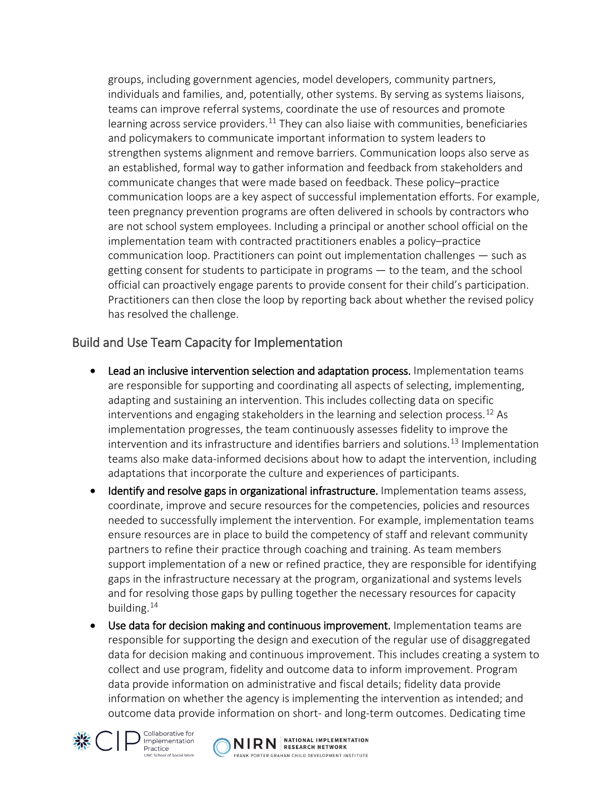groups, including government agencies, model developers, community partners, individuals and families, and, potentially, other systems. By serving as systems liaisons, teams can improve referral systems, coordinate the use of resources and promote learning across service providers.<sup>[11](#page-8-10)</sup> They can also liaise with communities, beneficiaries and policymakers to communicate important information to system leaders to strengthen systems alignment and remove barriers. Communication loops also serve as an established, formal way to gather information and feedback from stakeholders and communicate changes that were made based on feedback. These policy–practice communication loops are a key aspect of successful implementation efforts. For example, teen pregnancy prevention programs are often delivered in schools by contractors who are not school system employees. Including a principal or another school official on the implementation team with contracted practitioners enables a policy–practice communication loop. Practitioners can point out implementation challenges — such as getting consent for students to participate in programs — to the team, and the school official can proactively engage parents to provide consent for their child's participation. Practitioners can then close the loop by reporting back about whether the revised policy has resolved the challenge.

#### Build and Use Team Capacity for Implementation

- Lead an inclusive intervention selection and adaptation process. Implementation teams are responsible for supporting and coordinating all aspects of selecting, implementing, adapting and sustaining an intervention. This includes collecting data on specific interventions and engaging stakeholders in the learning and selection process.<sup>[12](#page-8-11)</sup> As implementation progresses, the team continuously assesses fidelity to improve the intervention and its infrastructure and identifies barriers and solutions.<sup>[13](#page-8-12)</sup> Implementation teams also make data-informed decisions about how to adapt the intervention, including adaptations that incorporate the culture and experiences of participants.
- Identify and resolve gaps in organizational infrastructure. Implementation teams assess, coordinate, improve and secure resources for the competencies, policies and resources needed to successfully implement the intervention. For example, implementation teams ensure resources are in place to build the competency of staff and relevant community partners to refine their practice through coaching and training. As team members support implementation of a new or refined practice, they are responsible for identifying gaps in the infrastructure necessary at the program, organizational and systems levels and for resolving those gaps by pulling together the necessary resources for capacity building.[14](#page-8-13)
- Use data for decision making and continuous improvement. Implementation teams are responsible for supporting the design and execution of the regular use of disaggregated data for decision making and continuous improvement. This includes creating a system to collect and use program, fidelity and outcome data to inform improvement. Program data provide information on administrative and fiscal details; fidelity data provide information on whether the agency is implementing the intervention as intended; and outcome data provide information on short- and long-term outcomes. Dedicating time



Collaborative for Implementation Practice

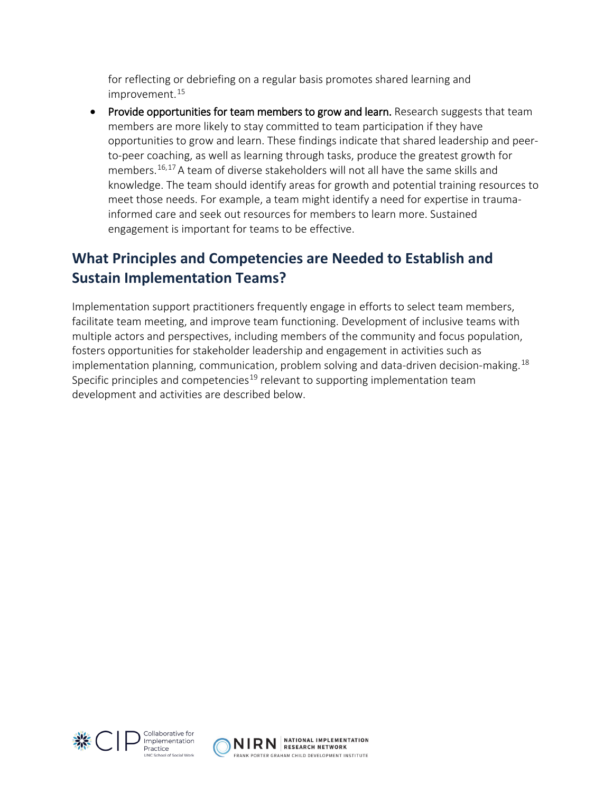for reflecting or debriefing on a regular basis promotes shared learning and improvement.<sup>[15](#page-8-14)</sup>

Provide opportunities for team members to grow and learn. Research suggests that team members are more likely to stay committed to team participation if they have opportunities to grow and learn. These findings indicate that shared leadership and peerto-peer coaching, as well as learning through tasks, produce the greatest growth for members.[16](#page-8-15),[17](#page-8-16) A team of diverse stakeholders will not all have the same skills and knowledge. The team should identify areas for growth and potential training resources to meet those needs. For example, a team might identify a need for expertise in traumainformed care and seek out resources for members to learn more. Sustained engagement is important for teams to be effective.

### **What Principles and Competencies are Needed to Establish and Sustain Implementation Teams?**

Implementation support practitioners frequently engage in efforts to select team members, facilitate team meeting, and improve team functioning. Development of inclusive teams with multiple actors and perspectives, including members of the community and focus population, fosters opportunities for stakeholder leadership and engagement in activities such as implementation planning, communication, problem solving and data-driven decision-making.<sup>[18](#page-8-17)</sup> Specific principles and competencies<sup>[19](#page-8-18)</sup> relevant to supporting implementation team development and activities are described below.



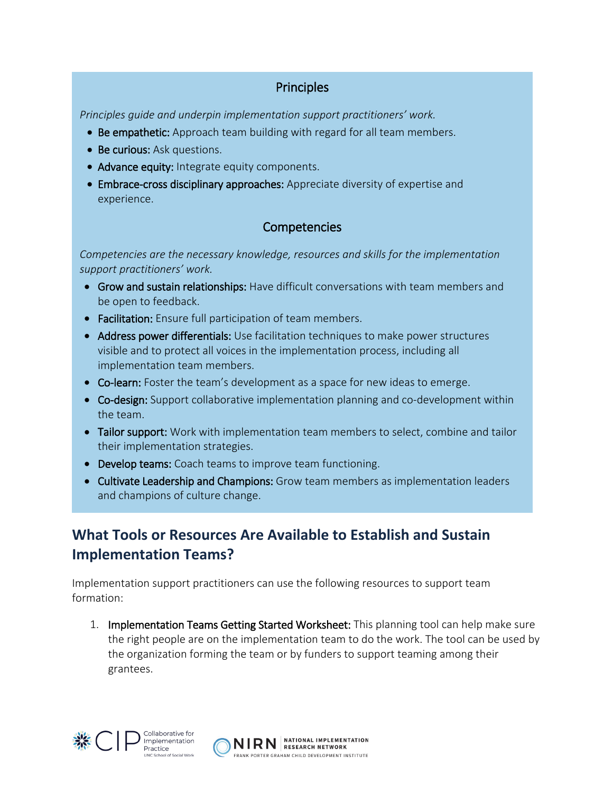#### **Principles**

*Principles guide and underpin implementation support practitioners' work.* 

- Be empathetic: Approach team building with regard for all team members.
- Be curious: Ask questions.
- Advance equity: Integrate equity components.
- Embrace-cross disciplinary approaches: Appreciate diversity of expertise and experience.

#### **Competencies**

*Competencies are the necessary knowledge, resources and skills for the implementation support practitioners' work.* 

- Grow and sustain relationships: Have difficult conversations with team members and be open to feedback.
- Facilitation: Ensure full participation of team members.
- Address power differentials: Use facilitation techniques to make power structures visible and to protect all voices in the implementation process, including all implementation team members.
- Co-learn: Foster the team's development as a space for new ideas to emerge.
- Co-design: Support collaborative implementation planning and co-development within the team.
- Tailor support: Work with implementation team members to select, combine and tailor their implementation strategies.
- Develop teams: Coach teams to improve team functioning.
- Cultivate Leadership and Champions: Grow team members as implementation leaders and champions of culture change.

## **What Tools or Resources Are Available to Establish and Sustain Implementation Teams?**

Implementation support practitioners can use the following resources to support team formation:

1. Implementation Teams Getting Started Worksheet: This planning tool can help make sure the right people are on the implementation team to do the work. The tool can be used by the organization forming the team or by funders to support teaming among their grantees.